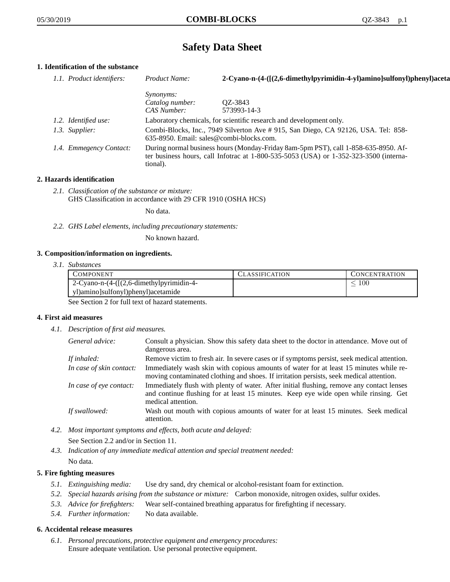# **Safety Data Sheet**

# **1. Identification of the substance**

| 1.1. Product identifiers: | Product Name:                            | 2-Cyano-n-(4-([(2,6-dimethylpyrimidin-4-yl)amino]sulfonyl)phenyl)aceta                                                                                                      |
|---------------------------|------------------------------------------|-----------------------------------------------------------------------------------------------------------------------------------------------------------------------------|
|                           | <i>Synonyms:</i>                         |                                                                                                                                                                             |
|                           | Catalog number:                          | QZ-3843                                                                                                                                                                     |
|                           | CAS Number:                              | 573993-14-3                                                                                                                                                                 |
| 1.2. Identified use:      |                                          | Laboratory chemicals, for scientific research and development only.                                                                                                         |
| 1.3. Supplier:            | 635-8950. Email: sales@combi-blocks.com. | Combi-Blocks, Inc., 7949 Silverton Ave # 915, San Diego, CA 92126, USA. Tel: 858-                                                                                           |
| 1.4. Emmegency Contact:   | tional).                                 | During normal business hours (Monday-Friday 8am-5pm PST), call 1-858-635-8950. Af-<br>ter business hours, call Infotrac at 1-800-535-5053 (USA) or 1-352-323-3500 (interna- |

## **2. Hazards identification**

*2.1. Classification of the substance or mixture:* GHS Classification in accordance with 29 CFR 1910 (OSHA HCS)

No data.

*2.2. GHS Label elements, including precautionary statements:*

No known hazard.

## **3. Composition/information on ingredients.**

*3.1. Substances*

| COMPONENT                                     | CLASSIFICATION | CONCENTRATION |
|-----------------------------------------------|----------------|---------------|
| $2$ -Cyano-n- $(4-([2,6-dimethylpyrimidin-4-$ |                | 100           |
| yl)amino]sulfonyl)phenyl)acetamide            |                |               |

See Section 2 for full text of hazard statements.

## **4. First aid measures**

*4.1. Description of first aid measures.*

| General advice:          | Consult a physician. Show this safety data sheet to the doctor in attendance. Move out of<br>dangerous area.                                                                                            |
|--------------------------|---------------------------------------------------------------------------------------------------------------------------------------------------------------------------------------------------------|
| If inhaled:              | Remove victim to fresh air. In severe cases or if symptoms persist, seek medical attention.                                                                                                             |
| In case of skin contact: | Immediately wash skin with copious amounts of water for at least 15 minutes while re-<br>moving contaminated clothing and shoes. If irritation persists, seek medical attention.                        |
| In case of eye contact:  | Immediately flush with plenty of water. After initial flushing, remove any contact lenses<br>and continue flushing for at least 15 minutes. Keep eye wide open while rinsing. Get<br>medical attention. |
| If swallowed:            | Wash out mouth with copious amounts of water for at least 15 minutes. Seek medical<br>attention.                                                                                                        |

- *4.2. Most important symptoms and effects, both acute and delayed:* See Section 2.2 and/or in Section 11.
- *4.3. Indication of any immediate medical attention and special treatment needed:* No data.

## **5. Fire fighting measures**

- *5.1. Extinguishing media:* Use dry sand, dry chemical or alcohol-resistant foam for extinction.
- *5.2. Special hazards arising from the substance or mixture:* Carbon monoxide, nitrogen oxides, sulfur oxides.
- *5.3. Advice for firefighters:* Wear self-contained breathing apparatus for firefighting if necessary.
- *5.4. Further information:* No data available.

## **6. Accidental release measures**

*6.1. Personal precautions, protective equipment and emergency procedures:* Ensure adequate ventilation. Use personal protective equipment.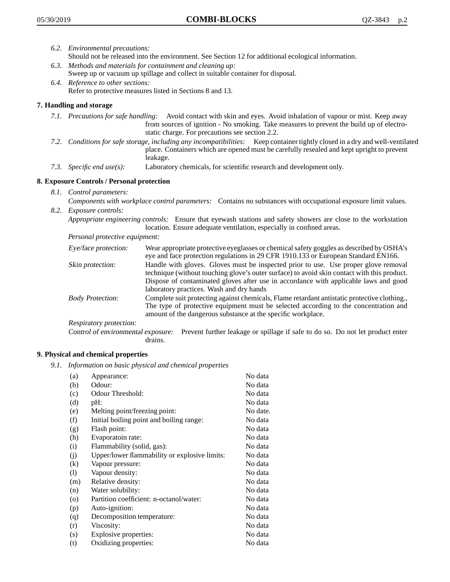- *6.2. Environmental precautions:* Should not be released into the environment. See Section 12 for additional ecological information.
- *6.3. Methods and materials for containment and cleaning up:* Sweep up or vacuum up spillage and collect in suitable container for disposal.
- *6.4. Reference to other sections:* Refer to protective measures listed in Sections 8 and 13.

## **7. Handling and storage**

- *7.1. Precautions for safe handling:* Avoid contact with skin and eyes. Avoid inhalation of vapour or mist. Keep away from sources of ignition - No smoking. Take measures to prevent the build up of electrostatic charge. For precautions see section 2.2.
- *7.2. Conditions for safe storage, including any incompatibilities:* Keep container tightly closed in a dry and well-ventilated place. Containers which are opened must be carefully resealed and kept upright to prevent leakage.
- *7.3. Specific end use(s):* Laboratory chemicals, for scientific research and development only.

## **8. Exposure Controls / Personal protection**

- *8.1. Control parameters:*
- *Components with workplace control parameters:* Contains no substances with occupational exposure limit values. *8.2. Exposure controls:*

*Appropriate engineering controls:* Ensure that eyewash stations and safety showers are close to the workstation location. Ensure adequate ventilation, especially in confined areas.

*Personal protective equipment:*

| Eye/face protection:    | Wear appropriate protective eyeglasses or chemical safety goggles as described by OSHA's<br>eye and face protection regulations in 29 CFR 1910.133 or European Standard EN166.                                                                                                                                         |
|-------------------------|------------------------------------------------------------------------------------------------------------------------------------------------------------------------------------------------------------------------------------------------------------------------------------------------------------------------|
| Skin protection:        | Handle with gloves. Gloves must be inspected prior to use. Use proper glove removal<br>technique (without touching glove's outer surface) to avoid skin contact with this product.<br>Dispose of contaminated gloves after use in accordance with applicable laws and good<br>laboratory practices. Wash and dry hands |
| <b>Body Protection:</b> | Complete suit protecting against chemicals, Flame retardant antistatic protective clothing.,<br>The type of protective equipment must be selected according to the concentration and<br>amount of the dangerous substance at the specific workplace.                                                                   |
| Respiratory protection: |                                                                                                                                                                                                                                                                                                                        |

Control of environmental exposure: Prevent further leakage or spillage if safe to do so. Do not let product enter drains.

## **9. Physical and chemical properties**

*9.1. Information on basic physical and chemical properties*

| (a)      | Appearance:                                   | No data  |
|----------|-----------------------------------------------|----------|
| (b)      | Odour:                                        | No data  |
| (c)      | Odour Threshold:                              | No data  |
| (d)      | pH:                                           | No data  |
| (e)      | Melting point/freezing point:                 | No date. |
| (f)      | Initial boiling point and boiling range:      | No data  |
| (g)      | Flash point:                                  | No data  |
| (h)      | Evaporatoin rate:                             | No data  |
| (i)      | Flammability (solid, gas):                    | No data  |
| (i)      | Upper/lower flammability or explosive limits: | No data  |
| $\rm(k)$ | Vapour pressure:                              | No data  |
| (1)      | Vapour density:                               | No data  |
| (m)      | Relative density:                             | No data  |
| (n)      | Water solubility:                             | No data  |
| $\circ$  | Partition coefficient: n-octanol/water:       | No data  |
| (p)      | Auto-ignition:                                | No data  |
| (q)      | Decomposition temperature:                    | No data  |
| (r)      | Viscosity:                                    | No data  |
| (s)      | Explosive properties:                         | No data  |
| (t)      | Oxidizing properties:                         | No data  |